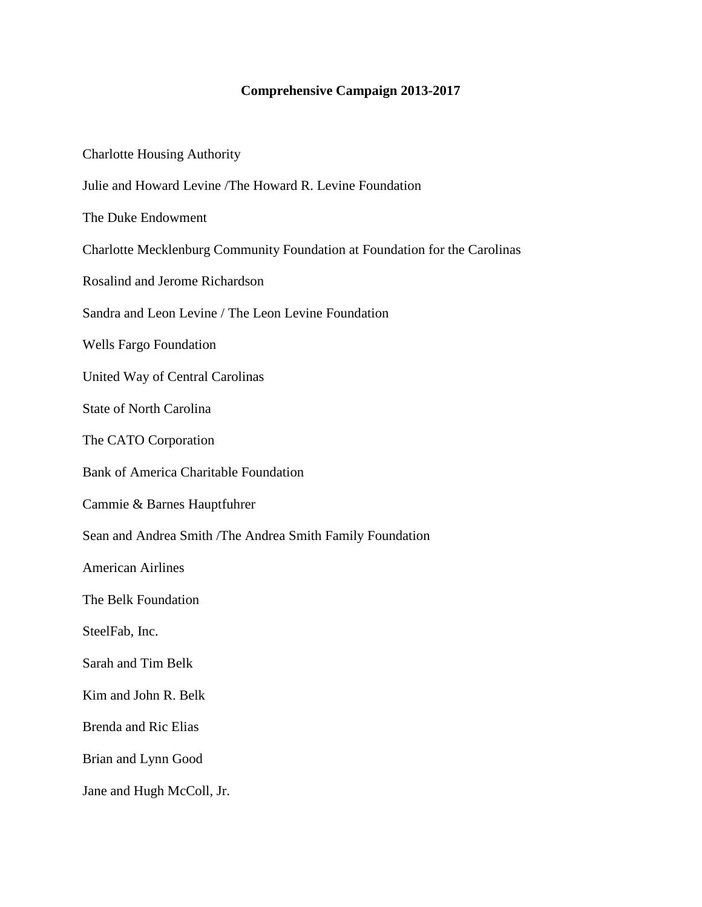## **Comprehensive Campaign 2013-2017**

| <b>Charlotte Housing Authority</b>                                         |
|----------------------------------------------------------------------------|
| Julie and Howard Levine / The Howard R. Levine Foundation                  |
| The Duke Endowment                                                         |
| Charlotte Mecklenburg Community Foundation at Foundation for the Carolinas |
| Rosalind and Jerome Richardson                                             |
| Sandra and Leon Levine / The Leon Levine Foundation                        |
| <b>Wells Fargo Foundation</b>                                              |
| United Way of Central Carolinas                                            |
| <b>State of North Carolina</b>                                             |
| The CATO Corporation                                                       |
| <b>Bank of America Charitable Foundation</b>                               |
| Cammie & Barnes Hauptfuhrer                                                |
| Sean and Andrea Smith / The Andrea Smith Family Foundation                 |
| <b>American Airlines</b>                                                   |
| The Belk Foundation                                                        |
| SteelFab, Inc.                                                             |
| Sarah and Tim Belk                                                         |
| Kim and John R. Belk                                                       |
| <b>Brenda and Ric Elias</b>                                                |
| Brian and Lynn Good                                                        |
| Jane and Hugh McColl, Jr.                                                  |
|                                                                            |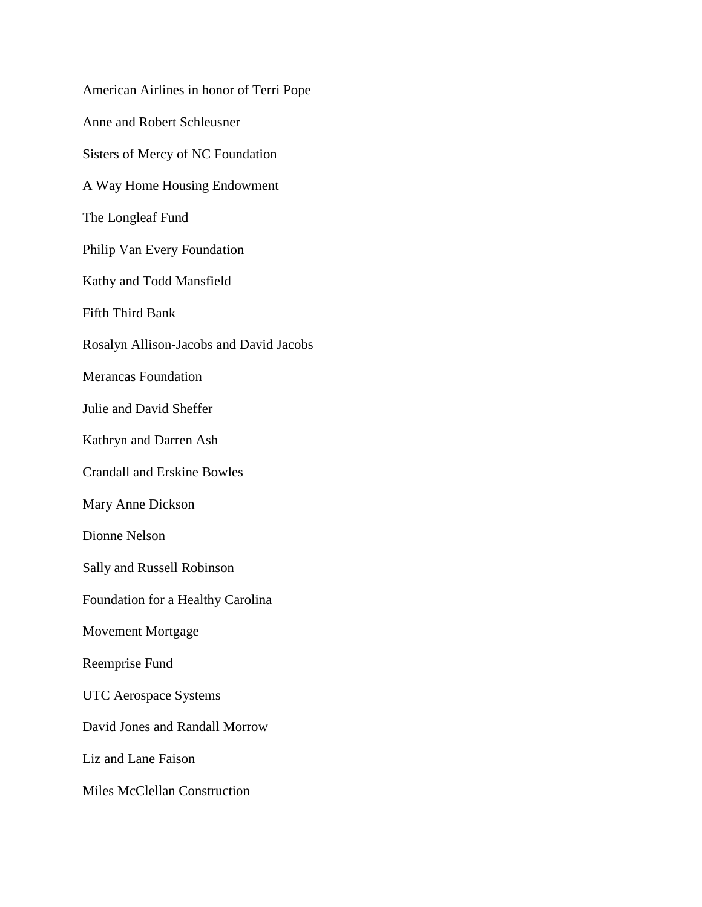American Airlines in honor of Terri Pope Anne and Robert Schleusner Sisters of Mercy of NC Foundation A Way Home Housing Endowment The Longleaf Fund Philip Van Every Foundation Kathy and Todd Mansfield Fifth Third Bank Rosalyn Allison-Jacobs and David Jacobs Merancas Foundation Julie and David Sheffer Kathryn and Darren Ash Crandall and Erskine Bowles Mary Anne Dickson Dionne Nelson Sally and Russell Robinson Foundation for a Healthy Carolina Movement Mortgage Reemprise Fund UTC Aerospace Systems David Jones and Randall Morrow Liz and Lane Faison Miles McClellan Construction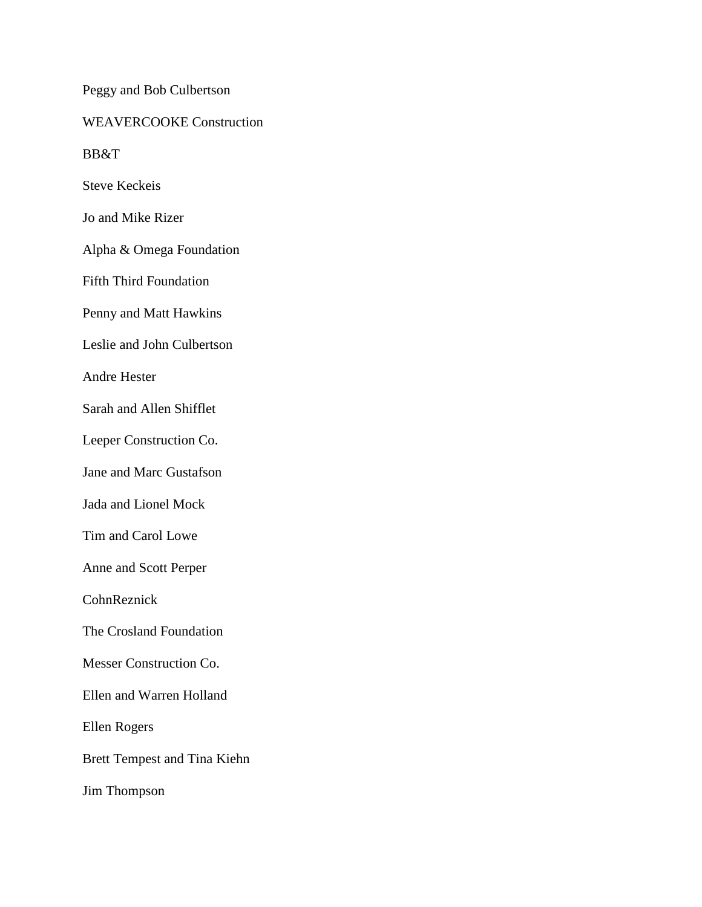Peggy and Bob Culbertson WEAVERCOOKE Construction BB&T

Steve Keckeis

Jo and Mike Rizer

Alpha & Omega Foundation

Fifth Third Foundation

Penny and Matt Hawkins

Leslie and John Culbertson

Andre Hester

Sarah and Allen Shifflet

Leeper Construction Co.

Jane and Marc Gustafson

Jada and Lionel Mock

Tim and Carol Lowe

Anne and Scott Perper

CohnReznick

The Crosland Foundation

Messer Construction Co.

Ellen and Warren Holland

Ellen Rogers

Brett Tempest and Tina Kiehn

Jim Thompson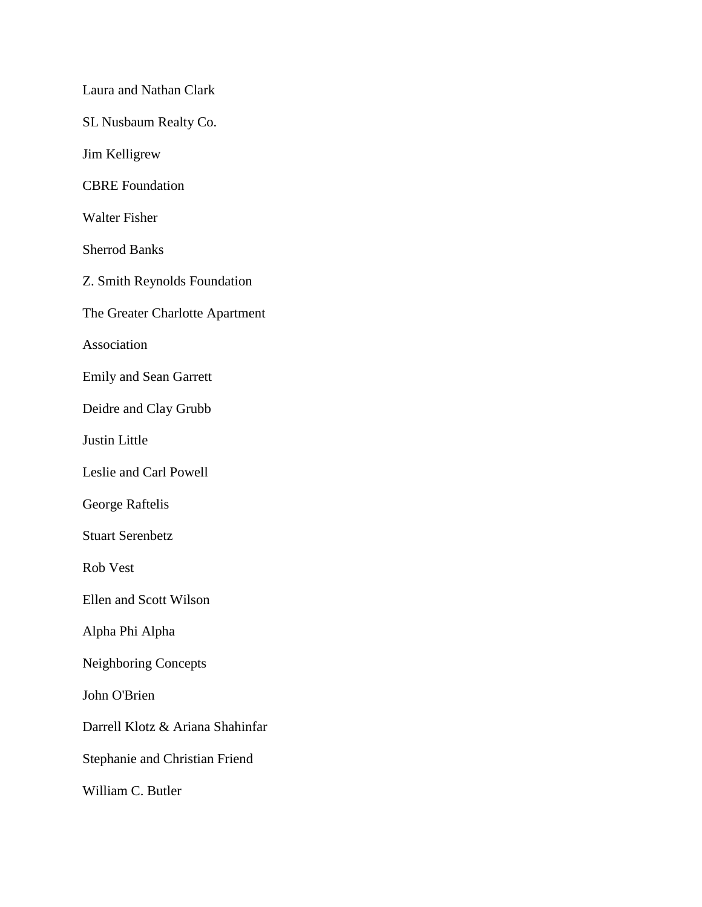Laura and Nathan Clark SL Nusbaum Realty Co. Jim Kelligrew CBRE Foundation Walter Fisher Sherrod Banks Z. Smith Reynolds Foundation The Greater Charlotte Apartment Association Emily and Sean Garrett Deidre and Clay Grubb Justin Little Leslie and Carl Powell George Raftelis Stuart Serenbetz Rob Vest Ellen and Scott Wilson Alpha Phi Alpha Neighboring Concepts John O'Brien Darrell Klotz & Ariana Shahinfar Stephanie and Christian Friend William C. Butler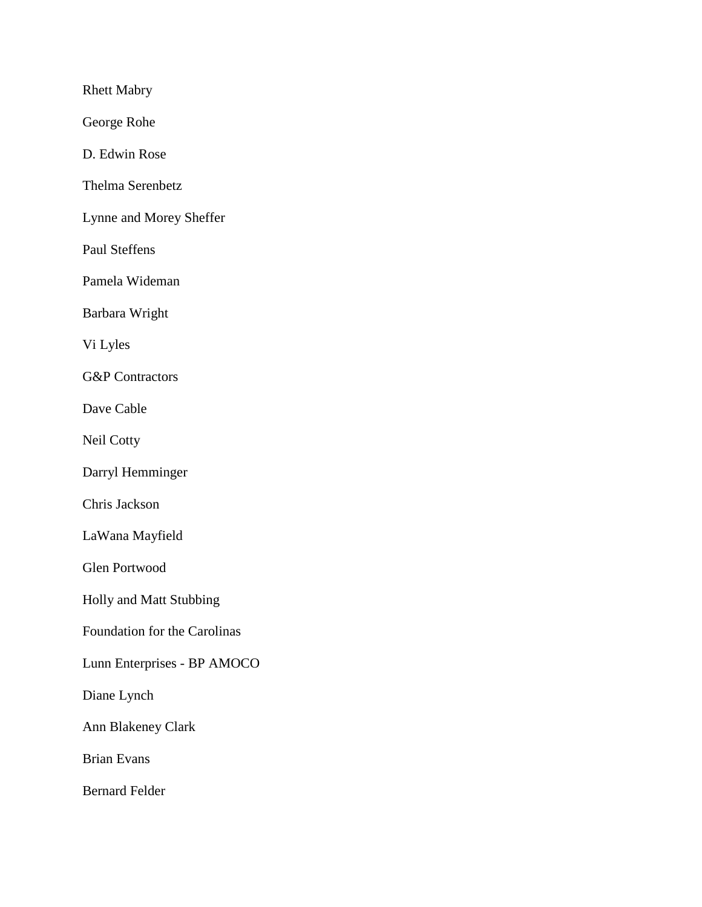Rhett Mabry

George Rohe

D. Edwin Rose

Thelma Serenbetz

Lynne and Morey Sheffer

Paul Steffens

Pamela Wideman

Barbara Wright

Vi Lyles

G&P Contractors

Dave Cable

Neil Cotty

Darryl Hemminger

Chris Jackson

LaWana Mayfield

Glen Portwood

Holly and Matt Stubbing

Foundation for the Carolinas

Lunn Enterprises - BP AMOCO

Diane Lynch

Ann Blakeney Clark

Brian Evans

Bernard Felder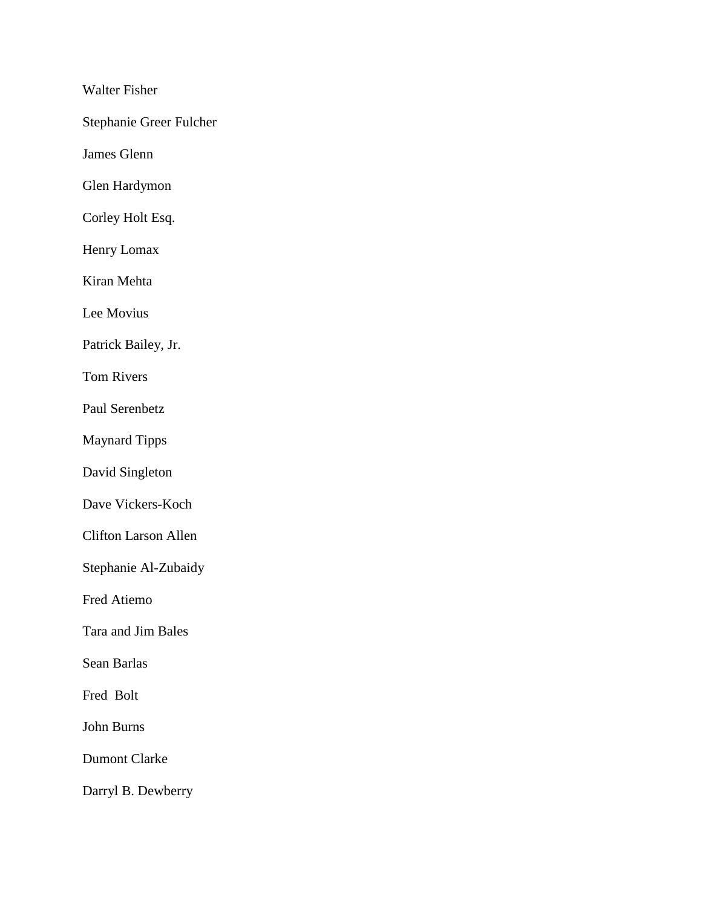Walter Fisher

Stephanie Greer Fulcher

James Glenn

Glen Hardymon

Corley Holt Esq.

Henry Lomax

Kiran Mehta

Lee Movius

Patrick Bailey, Jr.

Tom Rivers

Paul Serenbetz

Maynard Tipps

David Singleton

Dave Vickers-Koch

Clifton Larson Allen

Stephanie Al-Zubaidy

Fred Atiemo

Tara and Jim Bales

Sean Barlas

Fred Bolt

John Burns

Dumont Clarke

Darryl B. Dewberry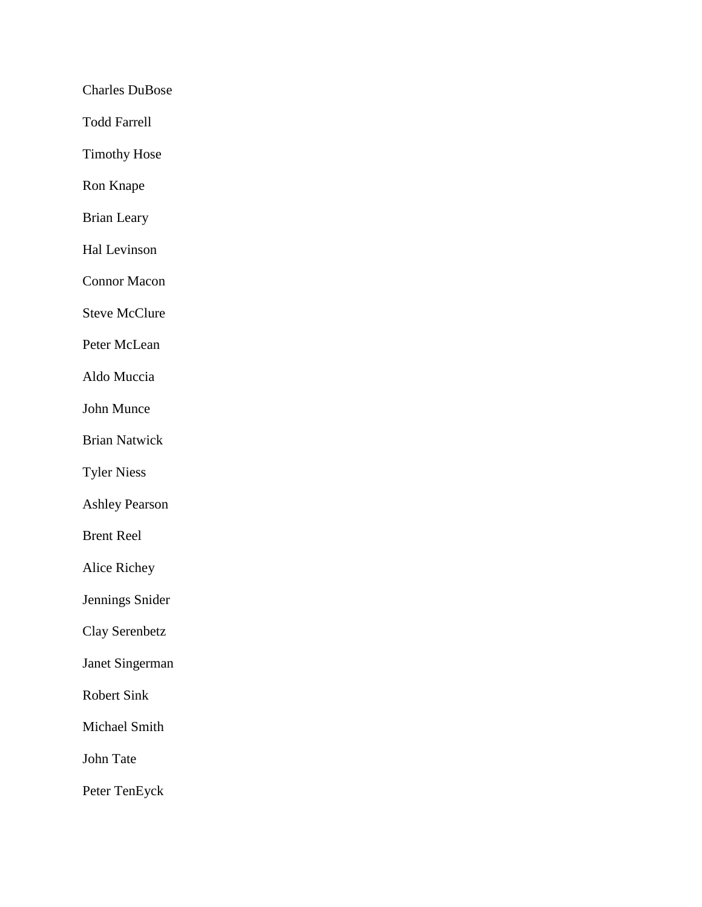Charles DuBose

Todd Farrell

Timothy Hose

Ron Knape

Brian Leary

Hal Levinson

Connor Macon

Steve McClure

Peter McLean

Aldo Muccia

John Munce

Brian Natwick

Tyler Niess

Ashley Pearson

Brent Reel

Alice Richey

Jennings Snider

Clay Serenbetz

Janet Singerman

Robert Sink

Michael Smith

John Tate

Peter TenEyck